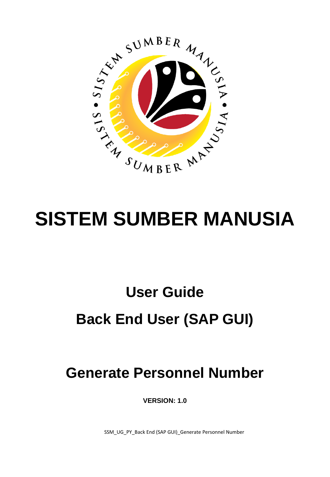

# **SISTEM SUMBER MANUSIA**

## **User Guide Back End User (SAP GUI)**

## **Generate Personnel Number**

**VERSION: 1.0**

SSM\_UG\_PY\_Back End (SAP GUI)\_Generate Personnel Number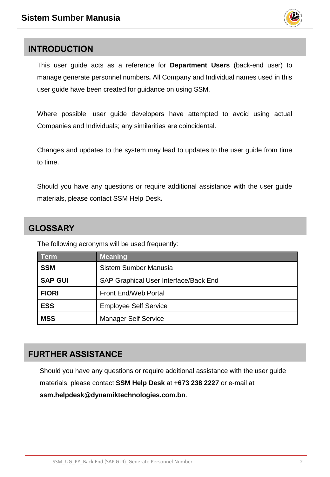

### <span id="page-1-0"></span>**INTRODUCTION**

This user guide acts as a reference for **Department Users** (back-end user) to manage generate personnel numbers**.** All Company and Individual names used in this user guide have been created for guidance on using SSM.

Where possible; user guide developers have attempted to avoid using actual Companies and Individuals; any similarities are coincidental.

Changes and updates to the system may lead to updates to the user guide from time to time.

Should you have any questions or require additional assistance with the user guide materials, please contact SSM Help Desk**.**

## **GLOSSARY**

The following acronyms will be used frequently:

| Term           | <b>Meaning</b>                        |
|----------------|---------------------------------------|
| <b>SSM</b>     | Sistem Sumber Manusia                 |
| <b>SAP GUI</b> | SAP Graphical User Interface/Back End |
| <b>FIORI</b>   | <b>Front End/Web Portal</b>           |
| <b>ESS</b>     | <b>Employee Self Service</b>          |
| <b>MSS</b>     | <b>Manager Self Service</b>           |

## **FURTHER ASSISTANCE**

Should you have any questions or require additional assistance with the user guide materials, please contact **SSM Help Desk** at **+673 238 2227** or e-mail at **ssm.helpdesk@dynamiktechnologies.com.bn**.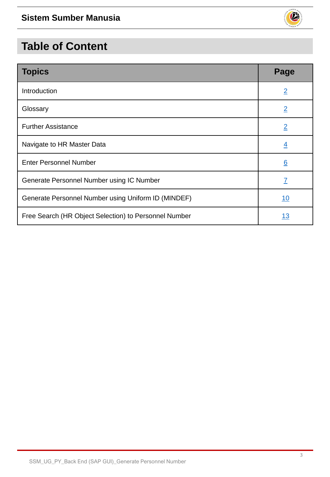

| <b>Topics</b>                                         | Page             |
|-------------------------------------------------------|------------------|
| Introduction                                          | $\overline{2}$   |
| Glossary                                              | $\overline{2}$   |
| <b>Further Assistance</b>                             | $\overline{2}$   |
| Navigate to HR Master Data                            | $\overline{4}$   |
| <b>Enter Personnel Number</b>                         | $6 \overline{6}$ |
| Generate Personnel Number using IC Number             | $\overline{I}$   |
| Generate Personnel Number using Uniform ID (MINDEF)   | 10               |
| Free Search (HR Object Selection) to Personnel Number | <u> 13</u>       |

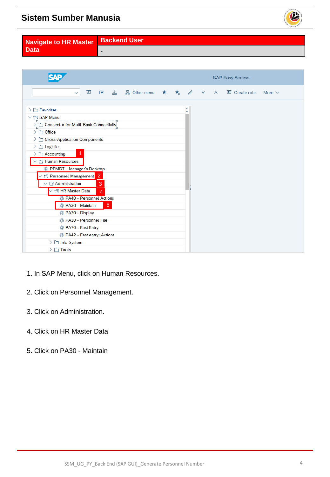

<span id="page-3-0"></span>

| Navigate to HR Master | <b>Backend User</b> |
|-----------------------|---------------------|
| l Data                |                     |

|                                                                                                                                                                                                                                                                                                                                                                                                                                                                                                                                                                                                                                           | <b>SAP Easy Access</b>                 |
|-------------------------------------------------------------------------------------------------------------------------------------------------------------------------------------------------------------------------------------------------------------------------------------------------------------------------------------------------------------------------------------------------------------------------------------------------------------------------------------------------------------------------------------------------------------------------------------------------------------------------------------------|----------------------------------------|
| E<br>■ 当 品 Other menu ★ ★ ∥ ∥ ∨<br>$\checkmark$                                                                                                                                                                                                                                                                                                                                                                                                                                                                                                                                                                                           | Create role<br>More $\vee$<br>$\wedge$ |
| > I Favorites<br>$\vee$ for SAP Menu<br>Connector for Multi-Bank Connectivity<br>$\geq$ $\Box$ Office<br>> Cross-Application Components<br>$\sum$ Logistics<br>1<br>$\geq$ $\Box$ Accounting<br>$\vee$ $\Box$ Human Resources<br>PPMDT - Manager's Desktop<br>$\vee$ $\Box$ Personnel Management 2<br>$\vee$ $\Box$ Administration<br>3<br>$\vee$ $\Box$ HR Master Data<br>$\overline{4}$<br><b>@ PA40 - Personnel Actions</b><br>5 <sup>5</sup><br><sup>3</sup> PA30 - Maintain<br><b>B</b> PA20 - Display<br>PA10 - Personnel File<br>PA70 - Fast Entry<br>PA42 - Fast entry: Actions<br>$\geq$ $\Box$ Info System<br>$\geq \Box$ Tools | ∼<br>Ŵ                                 |

- 1. In SAP Menu, click on Human Resources.
- 2. Click on Personnel Management.
- 3. Click on Administration.
- 4. Click on HR Master Data
- 5. Click on PA30 Maintain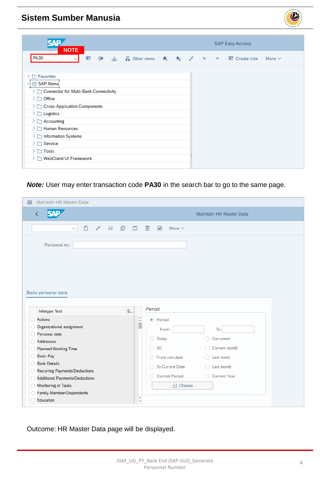

| <b>NOTE</b>                                                                                                                                                                                                                                                                                                                                        |             |
|----------------------------------------------------------------------------------------------------------------------------------------------------------------------------------------------------------------------------------------------------------------------------------------------------------------------------------------------------|-------------|
| <b>PA30</b><br>$\mathbf{F}$<br>■ 当 品 Other menu ★ ★ ∥ V ∧ 国 Create role<br>$\checkmark$                                                                                                                                                                                                                                                            | More $\vee$ |
| > [ Favorites<br>SAP Menu<br>> Connector for Multi-Bank Connectivity<br>$\geq$ $\Box$ Office<br>$\triangleright$ $\triangleright$ Cross-Application Components<br>$\geq$ $\Box$ Logistics<br>$\geq$ $\Box$ Accounting<br>$\sum$ Human Resources<br>$\sum$ Information Systems<br>$\sum$ Service<br>$\geq \Box$ Tools<br>> [ WebClient UI Framework |             |

*Note:* User may enter transaction code **PA30** in the search bar to go to the same page.

| <b>Maintain HR Master Data</b><br>≡                  |                                                                     |
|------------------------------------------------------|---------------------------------------------------------------------|
| K                                                    | <b>Maintain HR Master Data</b>                                      |
| ₫<br>$\Box$<br>一〇<br>0<br>$6\delta$<br>$\checkmark$  | $\overline{\mathbb{W}}$<br>$\overline{\mathbb{A}^*}$<br>More $\vee$ |
| Personnel no.:                                       |                                                                     |
|                                                      |                                                                     |
|                                                      |                                                                     |
| Basic personal data                                  |                                                                     |
| S<br><b>Infotype Text</b>                            | Period                                                              |
| $\hat{\phantom{a}}$<br><b>Actions</b><br>v           | · Period                                                            |
| п<br>Organizational assignment<br>0                  | From:<br>To:                                                        |
| Personal data<br>∩                                   | Today<br>Curr.week<br>∩<br>$\bigcirc$                               |
| Addresses                                            | All<br>Current month<br>0.                                          |
| <b>Planned Working Time</b><br><b>Basic Pay</b><br>0 | ◯ From curr.date<br>Last week                                       |
| <b>Bank Details</b>                                  |                                                                     |
| <b>Recurring Payments/Deductions</b><br>C            | <b>To Current Date</b><br>Last month<br>$\bigcirc$<br>$\bigcirc$    |
| <b>Additional Payments/Deductions</b><br>◯           | <b>Current Period</b><br>◯ Current Year                             |
| <b>Monitoring of Tasks</b>                           | <b>闩</b> Choose                                                     |
| <b>Family Member/Dependents</b>                      |                                                                     |
| ٨<br><b>Education</b>                                |                                                                     |

Outcome: HR Master Data page will be displayed.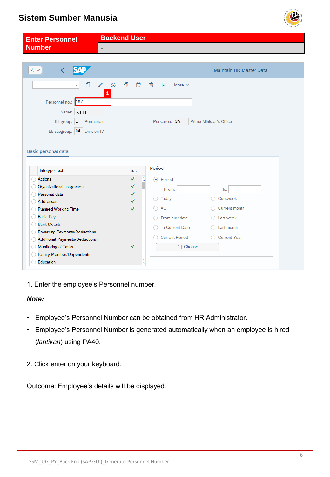<span id="page-5-0"></span>

| <b>Enter Personnel</b>                                    | <b>Backend User</b>                                          |
|-----------------------------------------------------------|--------------------------------------------------------------|
| <b>Number</b>                                             | $\overline{\phantom{a}}$                                     |
|                                                           |                                                              |
|                                                           |                                                              |
| ę<br>QAD<br>$\overline{\left( \right. }%$<br>$\checkmark$ | <b>Maintain HR Master Data</b>                               |
|                                                           |                                                              |
| ٥                                                         | ₫<br>$\mathscr O$<br>$6\delta$<br>Ö<br>而<br>國<br>More $\vee$ |
|                                                           | 1                                                            |
| Personnel no.: 187                                        |                                                              |
| Name: SITI                                                |                                                              |
| EE group: $1$<br>Permanent                                | Pers.area: SA<br>Prime Minister's Office                     |
| <b>Division IV</b>                                        |                                                              |
| EE subgroup: 04                                           |                                                              |
|                                                           |                                                              |
| Basic personal data                                       |                                                              |
|                                                           |                                                              |
|                                                           | Period                                                       |
| <b>Infotype Text</b>                                      | S                                                            |
| <b>Actions</b>                                            | $\hat{\cdot}$<br>✓<br>• Period                               |
| Organizational assignment                                 | $\checkmark$<br>From:<br>To:                                 |
| Personal data                                             | ✓<br>Curr.week<br>Today<br>$\bigcirc$<br>✓                   |
| <b>Addresses</b>                                          | All<br>Current month<br>∩<br>✓                               |
| <b>Planned Working Time</b><br><b>Basic Pay</b>           |                                                              |
| <b>Bank Details</b>                                       | From curr.date<br>$\bigcirc$ Last week                       |
| <b>Recurring Payments/Deductions</b>                      | <b>To Current Date</b><br>$\bigcirc$ Last month              |
| <b>Additional Payments/Deductions</b>                     | <b>Current Period</b><br>◯ Current Year                      |
| <b>Monitoring of Tasks</b>                                | $\checkmark$<br><b>日</b> Choose                              |
| <b>Family Member/Dependents</b>                           |                                                              |
| <b>Education</b>                                          | ᄉ<br>v                                                       |
|                                                           |                                                              |

1. Enter the employee's Personnel number.

#### *Note:*

- Employee's Personnel Number can be obtained from HR Administrator.
- Employee's Personnel Number is generated automatically when an employee is hired (*lantikan*) using PA40.
- 2. Click enter on your keyboard.

Outcome: Employee's details will be displayed.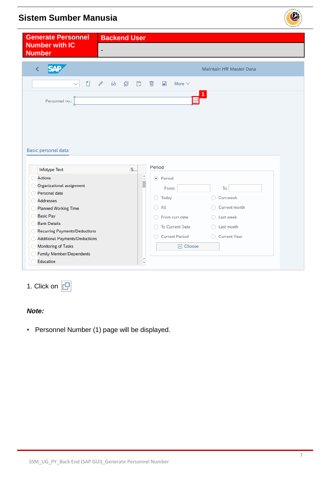<span id="page-6-0"></span>

| <b>Generate Personnel</b>                                                                                             | <b>Backend User</b>                        |                                                 |                                 |                                |  |
|-----------------------------------------------------------------------------------------------------------------------|--------------------------------------------|-------------------------------------------------|---------------------------------|--------------------------------|--|
| <b>Number with IC</b><br><b>Number</b>                                                                                | $\overline{\phantom{a}}$                   |                                                 |                                 |                                |  |
| K                                                                                                                     |                                            |                                                 |                                 | <b>Maintain HR Master Data</b> |  |
| $\Box$<br>$\checkmark$                                                                                                | $\Box$<br>一〇<br>$\mathscr{O}$<br>$6\delta$ | 画                                               | $\blacktriangle$<br>More $\vee$ |                                |  |
| Personnel no.:                                                                                                        |                                            |                                                 |                                 |                                |  |
|                                                                                                                       |                                            |                                                 |                                 |                                |  |
|                                                                                                                       |                                            |                                                 |                                 |                                |  |
|                                                                                                                       |                                            |                                                 |                                 |                                |  |
|                                                                                                                       |                                            |                                                 |                                 |                                |  |
|                                                                                                                       |                                            |                                                 |                                 |                                |  |
|                                                                                                                       |                                            |                                                 | Period                          |                                |  |
| <b>Infotype Text</b><br><b>Actions</b>                                                                                | S                                          |                                                 |                                 |                                |  |
| Organizational assignment                                                                                             |                                            | ¢<br>Π                                          | $\odot$ Period                  |                                |  |
| Personal data                                                                                                         |                                            |                                                 | From:                           | To:                            |  |
| <b>Addresses</b>                                                                                                      |                                            | $\left( \begin{array}{c} 1 \end{array} \right)$ | Today                           | Curr.week<br>∩                 |  |
| <b>Planned Working Time</b>                                                                                           |                                            | ○                                               | All                             | Current month                  |  |
| <b>Basic Pay</b>                                                                                                      |                                            | ∩                                               | From curr.date                  | $\bigcirc$ Last week           |  |
| <b>Bank Details</b>                                                                                                   |                                            | $\bigcirc$                                      | <b>To Current Date</b>          | Last month<br>∩                |  |
|                                                                                                                       |                                            | ∩                                               | <b>Current Period</b>           |                                |  |
| <b>Additional Payments/Deductions</b>                                                                                 |                                            |                                                 |                                 | ◯ Current Year                 |  |
| Basic personal data<br>Recurring Payments/Deductions<br><b>Monitoring of Tasks</b><br><b>Family Member/Dependents</b> |                                            |                                                 | <b>∐</b> Choose                 |                                |  |

1. Click on  $\boxed{\Box}$ 

#### *Note:*

• Personnel Number (1) page will be displayed.

 $\mathcal{V}$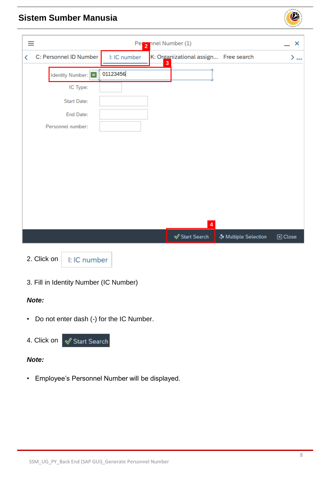| ≡ |                        |              | Pelle 2 nnel Number (1) |                                      |                      | ×                          |
|---|------------------------|--------------|-------------------------|--------------------------------------|----------------------|----------------------------|
| ≺ | C: Personnel ID Number | I: IC number | $\overline{\mathbf{3}}$ | K: Organizational assign Free search |                      | $\sum_{\infty}$            |
|   | Identity Number:       | 01123456     |                         |                                      |                      |                            |
|   | IC Type:               |              |                         |                                      |                      |                            |
|   | <b>Start Date:</b>     |              |                         |                                      |                      |                            |
|   | <b>End Date:</b>       |              |                         |                                      |                      |                            |
|   | Personnel number:      |              |                         |                                      |                      |                            |
|   |                        |              |                         |                                      |                      |                            |
|   |                        |              |                         |                                      |                      |                            |
|   |                        |              |                         |                                      |                      |                            |
|   |                        |              |                         |                                      |                      |                            |
|   |                        |              |                         |                                      |                      |                            |
|   |                        |              |                         |                                      |                      |                            |
|   |                        |              |                         | $\overline{\mathbf{4}}$              |                      |                            |
|   |                        |              |                         | $\mathcal Q$ Start Search            | ♣ Multiple Selection | $\boxed{\mathbf{x}}$ Close |
|   |                        |              |                         |                                      |                      |                            |



I: IC number

3. Fill in Identity Number (IC Number)

#### *Note:*

• Do not enter dash (-) for the IC Number.



#### *Note:*

• Employee's Personnel Number will be displayed.

 $\mathcal{P}$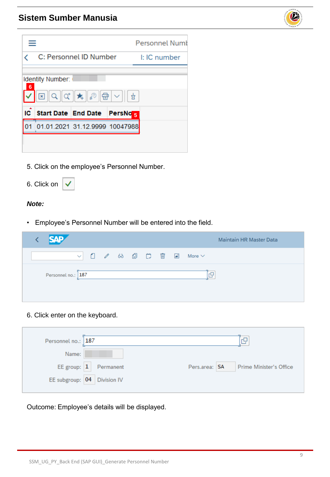

|                                                                                                 |                                |                        |                     | <b>Personnel Numi</b> |  |
|-------------------------------------------------------------------------------------------------|--------------------------------|------------------------|---------------------|-----------------------|--|
|                                                                                                 |                                | C: Personnel ID Number |                     | I: IC number          |  |
| <b>Identity Number:</b><br>6<br>འ།འ།★∥忽∥ਉ│▽│<br>$\sqrt{\ \mathbf{x}\ }$<br>$\frac{1}{\Delta}$ ) |                                |                        |                     |                       |  |
| IC                                                                                              | <b>Start Date End Date</b>     |                        | PersNo <sub>5</sub> |                       |  |
|                                                                                                 | 01.01.2021 31.12.9999 10047988 |                        |                     |                       |  |
|                                                                                                 |                                |                        |                     |                       |  |

5. Click on the employee's Personnel Number.

| 6. Click on |  |
|-------------|--|
|-------------|--|

#### *Note:*

• Employee's Personnel Number will be entered into the field.

| <b>SAP</b>         |  |  |  | <b>Maintain HR Master Data</b>                                                                     |
|--------------------|--|--|--|----------------------------------------------------------------------------------------------------|
|                    |  |  |  | $\vee$ 0 $\theta$ 68 0 $\ddot{\theta}$ $\ddot{\theta}$ $\ddot{\theta}$ $\ddot{\theta}$ More $\vee$ |
| Personnel no.: 187 |  |  |  | 'nΡ                                                                                                |

6. Click enter on the keyboard.

| Personnel no.: 187              |                                           |
|---------------------------------|-------------------------------------------|
| Name:                           |                                           |
| EE group: $\boxed{1}$ Permanent | Pers.area:   SA   Prime Minister's Office |
| EE subgroup: 04 Division IV     |                                           |

Outcome: Employee's details will be displayed.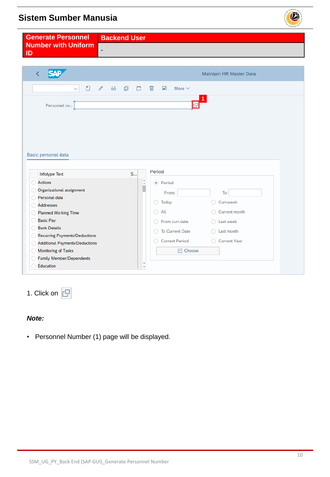<span id="page-9-0"></span>

1. Click on  $\Box$ 

#### *Note:*

• Personnel Number (1) page will be displayed.

**129**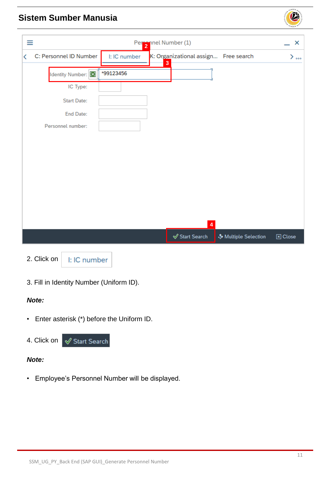| ≡ |                        |              | Peronnel Number (1)     |                                      |                      | ×                          |
|---|------------------------|--------------|-------------------------|--------------------------------------|----------------------|----------------------------|
| ← | C: Personnel ID Number | I: IC number | $\overline{\mathbf{3}}$ | K: Organizational assign Free search |                      | $>$ $\infty$               |
|   | Identity Number: [x]   | *99123456    |                         |                                      |                      |                            |
|   | IC Type:               |              |                         |                                      |                      |                            |
|   | <b>Start Date:</b>     |              |                         |                                      |                      |                            |
|   | End Date:              |              |                         |                                      |                      |                            |
|   | Personnel number:      |              |                         |                                      |                      |                            |
|   |                        |              |                         |                                      |                      |                            |
|   |                        |              |                         |                                      |                      |                            |
|   |                        |              |                         |                                      |                      |                            |
|   |                        |              |                         |                                      |                      |                            |
|   |                        |              |                         |                                      |                      |                            |
|   |                        |              |                         |                                      |                      |                            |
|   |                        |              |                         | $\overline{\mathbf{4}}$              |                      |                            |
|   |                        |              |                         | $\mathcal Q$ Start Search            | ♣ Multiple Selection | $\boxed{\mathbf{x}}$ Close |
|   |                        |              |                         |                                      |                      |                            |

2. Click on

I: IC number

3. Fill in Identity Number (Uniform ID).

#### *Note:*

• Enter asterisk (\*) before the Uniform ID.



#### *Note:*

• Employee's Personnel Number will be displayed.

 $\mathcal{P}$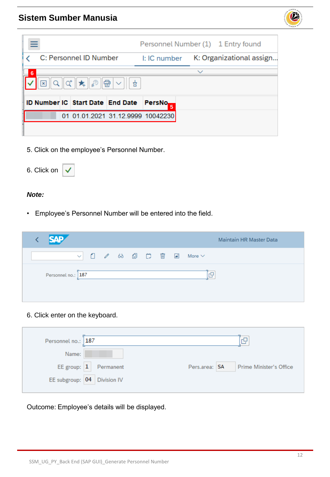

|                                                                   | Personnel Number (1) 1 Entry found       |  |  |  |
|-------------------------------------------------------------------|------------------------------------------|--|--|--|
| C: Personnel ID Number                                            | K: Organizational assign<br>I: IC number |  |  |  |
| 6                                                                 | $\checkmark$                             |  |  |  |
| $\alpha$ $\star$ $\beta$<br>惛<br>$\vert x \vert$<br>Q<br>$\sim$ 1 | 효                                        |  |  |  |
| ID Number IC Start Date End Date                                  | PersNo <sub>p</sub>                      |  |  |  |
| 01 01.01.2021 31.12.9999 10042230                                 |                                          |  |  |  |
|                                                                   |                                          |  |  |  |

5. Click on the employee's Personnel Number.

| 6. Click on |  |
|-------------|--|
|-------------|--|

#### *Note:*

• Employee's Personnel Number will be entered into the field.

| <b>SAP</b>         |  |  |  | <b>Maintain HR Master Data</b>                                                                                                           |
|--------------------|--|--|--|------------------------------------------------------------------------------------------------------------------------------------------|
|                    |  |  |  | $\vee$ 0 $\theta$ 68 $\oplus$ $\stackrel{\leftrightarrow}{\Box}$ $\stackrel{\leftarrow}{\Box}$ $\stackrel{\leftarrow}{\Box}$ More $\vee$ |
| Personnel no.: 187 |  |  |  | 'nQ                                                                                                                                      |

6. Click enter on the keyboard.

| Personnel no.: 187              | 'nQ                                      |
|---------------------------------|------------------------------------------|
| Name:                           |                                          |
| EE group: $\boxed{1}$ Permanent | Pers.area: SA<br>Prime Minister's Office |
| EE subgroup: 04 Division IV     |                                          |

Outcome: Employee's details will be displayed.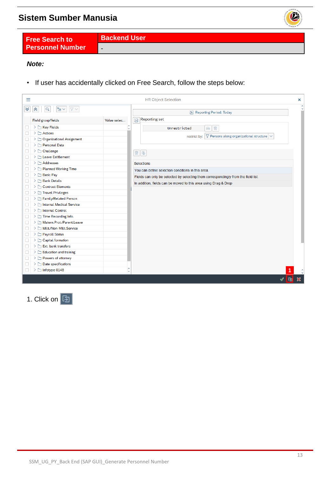

<span id="page-12-0"></span>**Free Search to Personnel Number**

**Backend User** -

#### *Note:*

• If user has accidentally clicked on Free Search, follow the steps below:

| Ξ |                                                             |             |                   | <b>HR Object Selection</b>                                                             |               |   | ×                         |
|---|-------------------------------------------------------------|-------------|-------------------|----------------------------------------------------------------------------------------|---------------|---|---------------------------|
| է | $\mathbb{F}_{\Xi}$ $\vee$<br>$\nabla \vee$<br>$\alpha$<br>° |             |                   | H Reporting Period: Today                                                              |               |   |                           |
|   | Field group/fields                                          | Value selec |                   | <b>Reporting set</b><br>冲                                                              |               |   |                           |
|   | $\geq \Box$ Key Fields                                      |             | U                 | 画<br>Unrestricted<br>$6\delta$                                                         |               |   |                           |
|   | > D Actions                                                 |             |                   | $\triangledown$ Persons along organizational structure $\triangledown$<br>restrict by: |               |   |                           |
|   | > Organizational Assignment                                 |             |                   |                                                                                        |               |   |                           |
|   | > Personal Data                                             |             |                   |                                                                                        |               |   |                           |
|   | $\sum$ Challenge                                            |             |                   | 画单                                                                                     |               |   |                           |
|   | > M Leave Entitlement                                       |             |                   |                                                                                        |               |   |                           |
|   | > Mddresses                                                 |             |                   | <b>Selections</b>                                                                      |               |   |                           |
|   | > C Planned Working Time                                    |             |                   | You can define selection conditions in this area.                                      |               |   |                           |
|   | $\geq$ $\Box$ Basic Pay                                     |             |                   | Fields can only be selected by selecting them correspondingly from the field list.     |               |   |                           |
|   | > Bank Details                                              |             |                   | In addition, fields can be moved to this area using Drag & Drop                        |               |   |                           |
|   | > Contract Elements                                         |             |                   |                                                                                        |               |   |                           |
|   | > Travel Privileges                                         |             |                   |                                                                                        |               |   |                           |
|   | > Family/Related Person                                     |             |                   |                                                                                        |               |   |                           |
|   | > Medical Service                                           |             |                   |                                                                                        |               |   |                           |
| □ | > Internal Control                                          |             |                   |                                                                                        |               |   |                           |
|   | $\sum$ Time Recording Info.                                 |             |                   |                                                                                        |               |   |                           |
|   | > Matern.Prot./Parent.Leave                                 |             |                   |                                                                                        |               |   |                           |
|   | > Milit./Non-Milit.Service                                  |             |                   |                                                                                        |               |   |                           |
|   | > Payroll Status                                            |             |                   |                                                                                        |               |   |                           |
|   | > Capital formation                                         |             |                   |                                                                                        |               |   |                           |
|   | $\geq$ $\Box$ Ext. bank transfers                           |             |                   |                                                                                        |               |   |                           |
| H | $\geq$ $\Box$ Education and training                        |             |                   |                                                                                        |               |   |                           |
|   | > Powers of attorney                                        |             |                   |                                                                                        |               |   |                           |
|   | > Date specifications                                       |             |                   |                                                                                        |               |   |                           |
| П | > Infotype 0148                                             |             | ́<br>$\checkmark$ |                                                                                        |               |   |                           |
|   |                                                             |             |                   |                                                                                        | $\mathscr{Q}$ | 囱 | $\boldsymbol{\mathsf{X}}$ |

1. Click on **[5]**